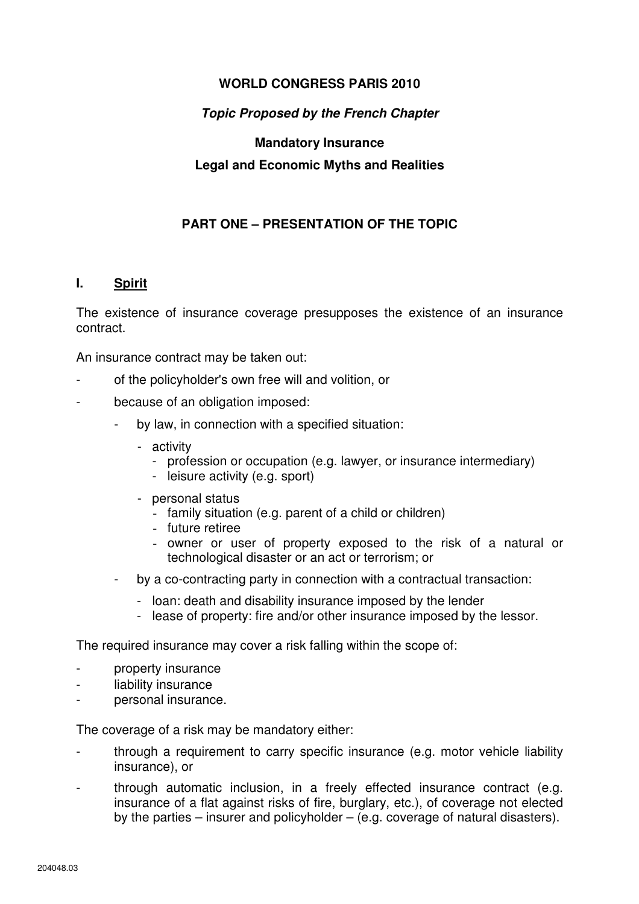# **WORLD CONGRESS PARIS 2010**

# **Topic Proposed by the French Chapter**

# **Mandatory Insurance Legal and Economic Myths and Realities**

# **PART ONE – PRESENTATION OF THE TOPIC**

### **I. Spirit**

The existence of insurance coverage presupposes the existence of an insurance contract.

An insurance contract may be taken out:

- of the policyholder's own free will and volition, or
- because of an obligation imposed:
	- by law, in connection with a specified situation:
		- activity
			- profession or occupation (e.g. lawyer, or insurance intermediary)
			- leisure activity (e.g. sport)
		- personal status
			- family situation (e.g. parent of a child or children)
			- future retiree
			- owner or user of property exposed to the risk of a natural or technological disaster or an act or terrorism; or
	- by a co-contracting party in connection with a contractual transaction:
		- loan: death and disability insurance imposed by the lender
		- lease of property: fire and/or other insurance imposed by the lessor.

The required insurance may cover a risk falling within the scope of:

- property insurance
- liability insurance
- personal insurance.

The coverage of a risk may be mandatory either:

- through a requirement to carry specific insurance (e.g. motor vehicle liability insurance), or
- through automatic inclusion, in a freely effected insurance contract (e.g. insurance of a flat against risks of fire, burglary, etc.), of coverage not elected by the parties – insurer and policyholder – (e.g. coverage of natural disasters).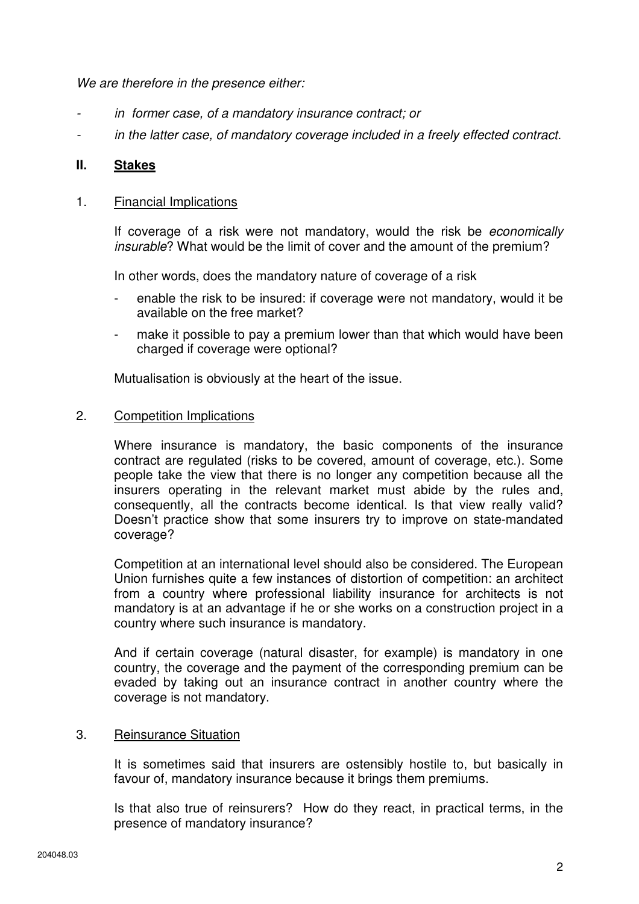We are therefore in the presence either:

- in former case, of a mandatory insurance contract; or
- in the latter case, of mandatory coverage included in a freely effected contract.

### **II. Stakes**

#### 1. Financial Implications

 If coverage of a risk were not mandatory, would the risk be economically insurable? What would be the limit of cover and the amount of the premium?

In other words, does the mandatory nature of coverage of a risk

- enable the risk to be insured: if coverage were not mandatory, would it be available on the free market?
- make it possible to pay a premium lower than that which would have been charged if coverage were optional?

Mutualisation is obviously at the heart of the issue.

#### 2. Competition Implications

 Where insurance is mandatory, the basic components of the insurance contract are regulated (risks to be covered, amount of coverage, etc.). Some people take the view that there is no longer any competition because all the insurers operating in the relevant market must abide by the rules and, consequently, all the contracts become identical. Is that view really valid? Doesn't practice show that some insurers try to improve on state-mandated coverage?

 Competition at an international level should also be considered. The European Union furnishes quite a few instances of distortion of competition: an architect from a country where professional liability insurance for architects is not mandatory is at an advantage if he or she works on a construction project in a country where such insurance is mandatory.

 And if certain coverage (natural disaster, for example) is mandatory in one country, the coverage and the payment of the corresponding premium can be evaded by taking out an insurance contract in another country where the coverage is not mandatory.

### 3. Reinsurance Situation

It is sometimes said that insurers are ostensibly hostile to, but basically in favour of, mandatory insurance because it brings them premiums.

Is that also true of reinsurers? How do they react, in practical terms, in the presence of mandatory insurance?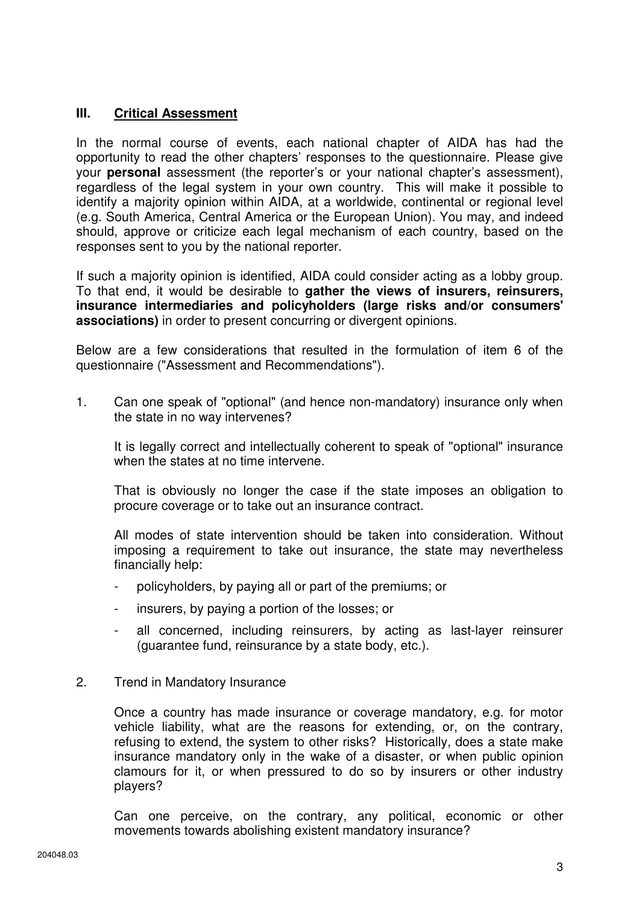# **III. Critical Assessment**

In the normal course of events, each national chapter of AIDA has had the opportunity to read the other chapters' responses to the questionnaire. Please give your **personal** assessment (the reporter's or your national chapter's assessment), regardless of the legal system in your own country. This will make it possible to identify a majority opinion within AIDA, at a worldwide, continental or regional level (e.g. South America, Central America or the European Union). You may, and indeed should, approve or criticize each legal mechanism of each country, based on the responses sent to you by the national reporter.

If such a majority opinion is identified, AIDA could consider acting as a lobby group. To that end, it would be desirable to **gather the views of insurers, reinsurers, insurance intermediaries and policyholders (large risks and/or consumers' associations)** in order to present concurring or divergent opinions.

Below are a few considerations that resulted in the formulation of item 6 of the questionnaire ("Assessment and Recommendations").

1. Can one speak of "optional" (and hence non-mandatory) insurance only when the state in no way intervenes?

 It is legally correct and intellectually coherent to speak of "optional" insurance when the states at no time intervene.

 That is obviously no longer the case if the state imposes an obligation to procure coverage or to take out an insurance contract.

 All modes of state intervention should be taken into consideration. Without imposing a requirement to take out insurance, the state may nevertheless financially help:

- policyholders, by paying all or part of the premiums; or
- insurers, by paying a portion of the losses; or
- all concerned, including reinsurers, by acting as last-layer reinsurer (guarantee fund, reinsurance by a state body, etc.).
- 2. Trend in Mandatory Insurance

 Once a country has made insurance or coverage mandatory, e.g. for motor vehicle liability, what are the reasons for extending, or, on the contrary, refusing to extend, the system to other risks? Historically, does a state make insurance mandatory only in the wake of a disaster, or when public opinion clamours for it, or when pressured to do so by insurers or other industry players?

 Can one perceive, on the contrary, any political, economic or other movements towards abolishing existent mandatory insurance?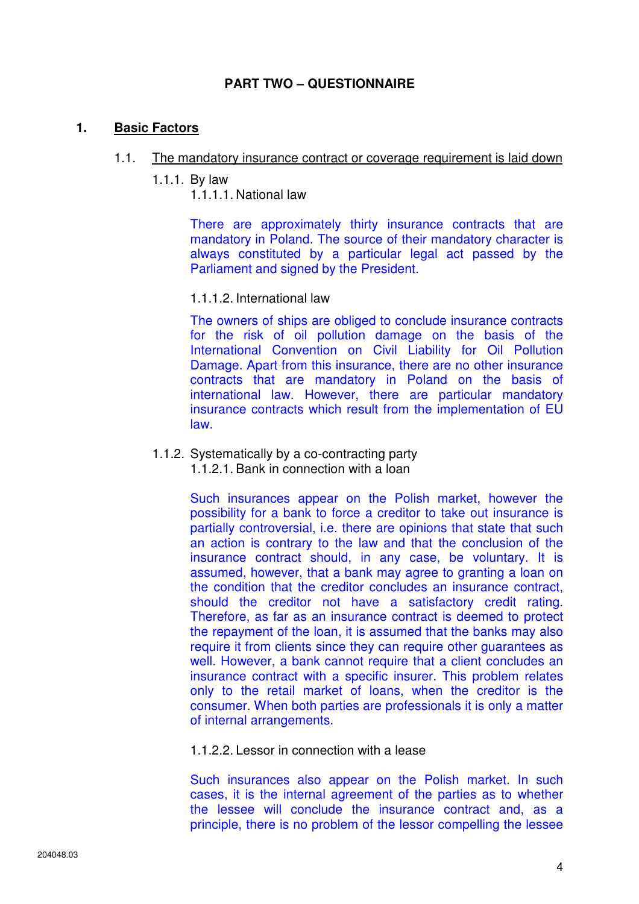# **PART TWO – QUESTIONNAIRE**

### **1. Basic Factors**

#### 1.1. The mandatory insurance contract or coverage requirement is laid down

1.1.1. By law

1.1.1.1. National law

There are approximately thirty insurance contracts that are mandatory in Poland. The source of their mandatory character is always constituted by a particular legal act passed by the Parliament and signed by the President.

#### 1.1.1.2. International law

The owners of ships are obliged to conclude insurance contracts for the risk of oil pollution damage on the basis of the International Convention on Civil Liability for Oil Pollution Damage. Apart from this insurance, there are no other insurance contracts that are mandatory in Poland on the basis of international law. However, there are particular mandatory insurance contracts which result from the implementation of EU law.

#### 1.1.2. Systematically by a co-contracting party 1.1.2.1. Bank in connection with a loan

Such insurances appear on the Polish market, however the possibility for a bank to force a creditor to take out insurance is partially controversial, i.e. there are opinions that state that such an action is contrary to the law and that the conclusion of the insurance contract should, in any case, be voluntary. It is assumed, however, that a bank may agree to granting a loan on the condition that the creditor concludes an insurance contract, should the creditor not have a satisfactory credit rating. Therefore, as far as an insurance contract is deemed to protect the repayment of the loan, it is assumed that the banks may also require it from clients since they can require other guarantees as well. However, a bank cannot require that a client concludes an insurance contract with a specific insurer. This problem relates only to the retail market of loans, when the creditor is the consumer. When both parties are professionals it is only a matter of internal arrangements.

1.1.2.2. Lessor in connection with a lease

Such insurances also appear on the Polish market. In such cases, it is the internal agreement of the parties as to whether the lessee will conclude the insurance contract and, as a principle, there is no problem of the lessor compelling the lessee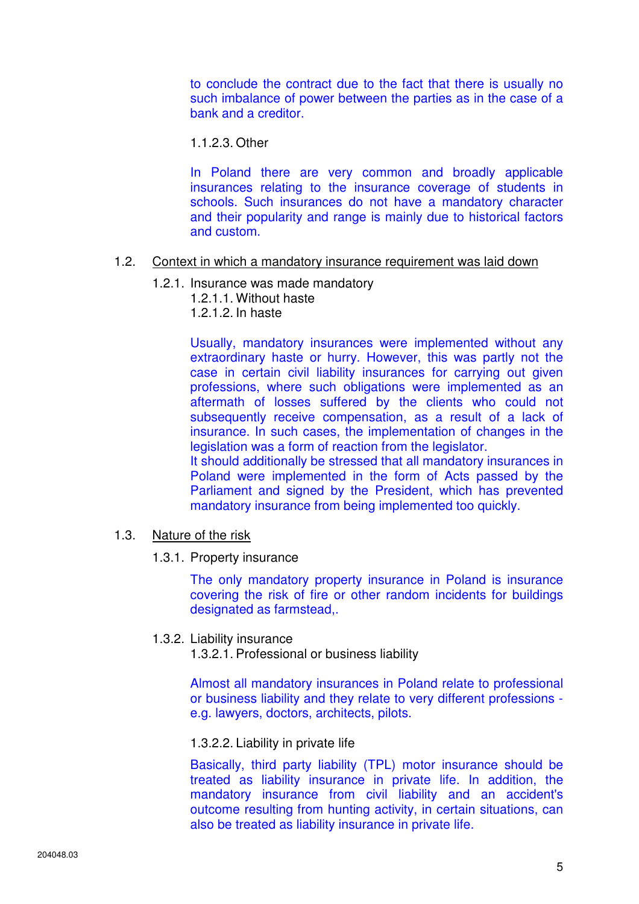to conclude the contract due to the fact that there is usually no such imbalance of power between the parties as in the case of a bank and a creditor.

1.1.2.3. Other

In Poland there are very common and broadly applicable insurances relating to the insurance coverage of students in schools. Such insurances do not have a mandatory character and their popularity and range is mainly due to historical factors and custom.

### 1.2. Context in which a mandatory insurance requirement was laid down

- 1.2.1. Insurance was made mandatory
	- 1.2.1.1. Without haste
	- 1.2.1.2. In haste

Usually, mandatory insurances were implemented without any extraordinary haste or hurry. However, this was partly not the case in certain civil liability insurances for carrying out given professions, where such obligations were implemented as an aftermath of losses suffered by the clients who could not subsequently receive compensation, as a result of a lack of insurance. In such cases, the implementation of changes in the legislation was a form of reaction from the legislator.

It should additionally be stressed that all mandatory insurances in Poland were implemented in the form of Acts passed by the Parliament and signed by the President, which has prevented mandatory insurance from being implemented too quickly.

### 1.3. Nature of the risk

1.3.1. Property insurance

The only mandatory property insurance in Poland is insurance covering the risk of fire or other random incidents for buildings designated as farmstead,.

#### 1.3.2. Liability insurance

1.3.2.1. Professional or business liability

Almost all mandatory insurances in Poland relate to professional or business liability and they relate to very different professions e.g. lawyers, doctors, architects, pilots.

#### 1.3.2.2. Liability in private life

Basically, third party liability (TPL) motor insurance should be treated as liability insurance in private life. In addition, the mandatory insurance from civil liability and an accident's outcome resulting from hunting activity, in certain situations, can also be treated as liability insurance in private life.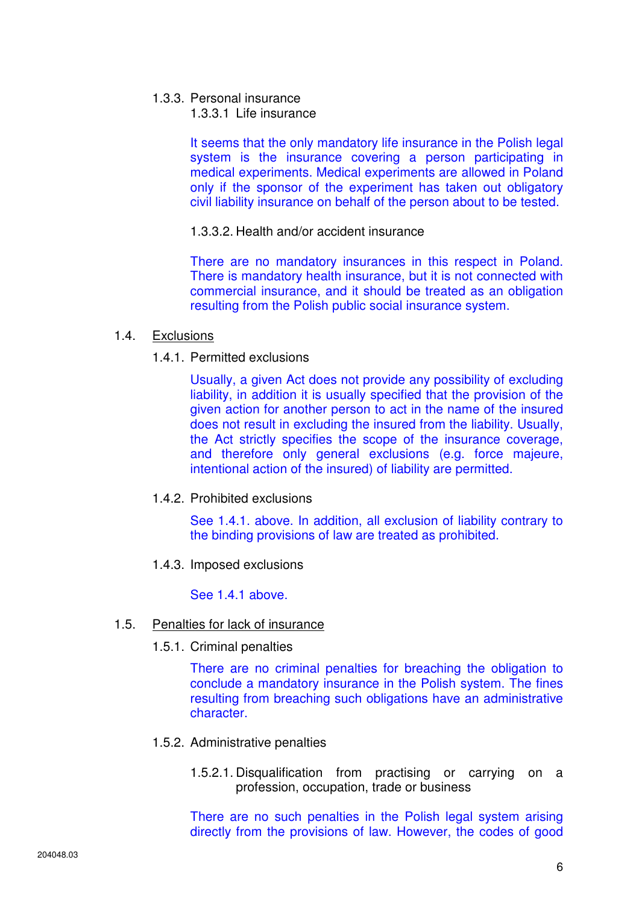- 1.3.3. Personal insurance
	- 1.3.3.1 Life insurance

It seems that the only mandatory life insurance in the Polish legal system is the insurance covering a person participating in medical experiments. Medical experiments are allowed in Poland only if the sponsor of the experiment has taken out obligatory civil liability insurance on behalf of the person about to be tested.

### 1.3.3.2. Health and/or accident insurance

There are no mandatory insurances in this respect in Poland. There is mandatory health insurance, but it is not connected with commercial insurance, and it should be treated as an obligation resulting from the Polish public social insurance system.

### 1.4. Exclusions

1.4.1. Permitted exclusions

Usually, a given Act does not provide any possibility of excluding liability, in addition it is usually specified that the provision of the given action for another person to act in the name of the insured does not result in excluding the insured from the liability. Usually, the Act strictly specifies the scope of the insurance coverage, and therefore only general exclusions (e.g. force majeure, intentional action of the insured) of liability are permitted.

1.4.2. Prohibited exclusions

See 1.4.1. above. In addition, all exclusion of liability contrary to the binding provisions of law are treated as prohibited.

1.4.3. Imposed exclusions

See 1.4.1 above.

### 1.5. Penalties for lack of insurance

1.5.1. Criminal penalties

There are no criminal penalties for breaching the obligation to conclude a mandatory insurance in the Polish system. The fines resulting from breaching such obligations have an administrative character.

- 1.5.2. Administrative penalties
	- 1.5.2.1. Disqualification from practising or carrying on a profession, occupation, trade or business

There are no such penalties in the Polish legal system arising directly from the provisions of law. However, the codes of good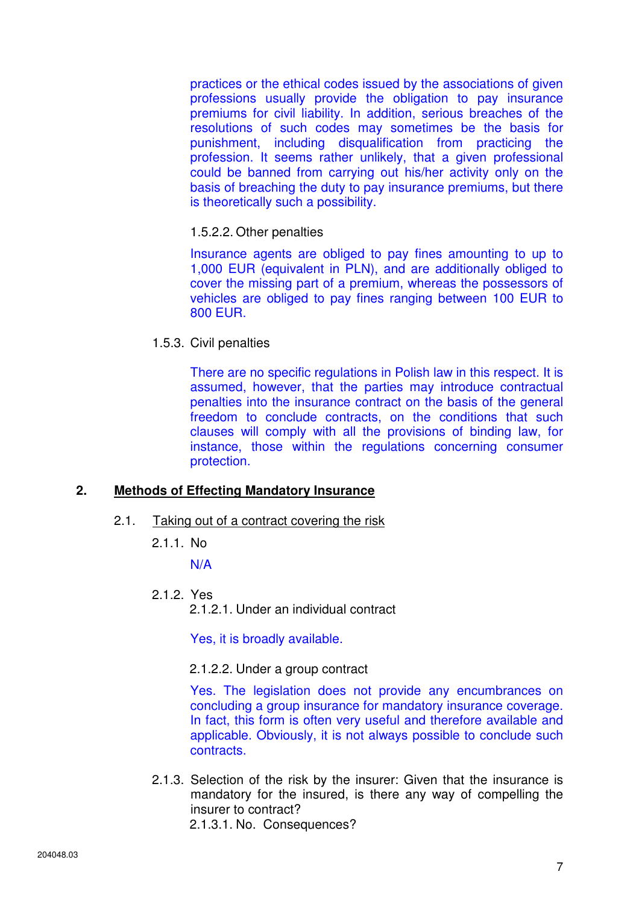practices or the ethical codes issued by the associations of given professions usually provide the obligation to pay insurance premiums for civil liability. In addition, serious breaches of the resolutions of such codes may sometimes be the basis for punishment, including disqualification from practicing the profession. It seems rather unlikely, that a given professional could be banned from carrying out his/her activity only on the basis of breaching the duty to pay insurance premiums, but there is theoretically such a possibility.

### 1.5.2.2. Other penalties

Insurance agents are obliged to pay fines amounting to up to 1,000 EUR (equivalent in PLN), and are additionally obliged to cover the missing part of a premium, whereas the possessors of vehicles are obliged to pay fines ranging between 100 EUR to 800 EUR.

1.5.3. Civil penalties

There are no specific regulations in Polish law in this respect. It is assumed, however, that the parties may introduce contractual penalties into the insurance contract on the basis of the general freedom to conclude contracts, on the conditions that such clauses will comply with all the provisions of binding law, for instance, those within the regulations concerning consumer protection.

### **2. Methods of Effecting Mandatory Insurance**

- 2.1. Taking out of a contract covering the risk
	- 2.1.1. No

N/A

- 2.1.2. Yes
	- 2.1.2.1. Under an individual contract

Yes, it is broadly available.

#### 2.1.2.2. Under a group contract

Yes. The legislation does not provide any encumbrances on concluding a group insurance for mandatory insurance coverage. In fact, this form is often very useful and therefore available and applicable. Obviously, it is not always possible to conclude such contracts.

2.1.3. Selection of the risk by the insurer: Given that the insurance is mandatory for the insured, is there any way of compelling the insurer to contract? 2.1.3.1. No. Consequences?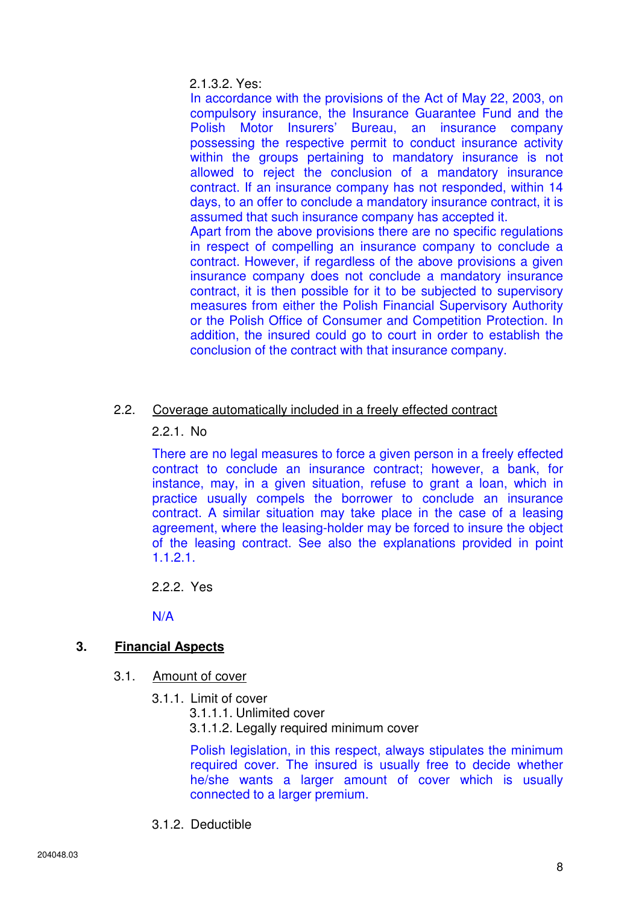### 2.1.3.2. Yes:

In accordance with the provisions of the Act of May 22, 2003, on compulsory insurance, the Insurance Guarantee Fund and the Polish Motor Insurers' Bureau, an insurance company possessing the respective permit to conduct insurance activity within the groups pertaining to mandatory insurance is not allowed to reject the conclusion of a mandatory insurance contract. If an insurance company has not responded, within 14 days, to an offer to conclude a mandatory insurance contract, it is assumed that such insurance company has accepted it.

Apart from the above provisions there are no specific regulations in respect of compelling an insurance company to conclude a contract. However, if regardless of the above provisions a given insurance company does not conclude a mandatory insurance contract, it is then possible for it to be subjected to supervisory measures from either the Polish Financial Supervisory Authority or the Polish Office of Consumer and Competition Protection. In addition, the insured could go to court in order to establish the conclusion of the contract with that insurance company.

# 2.2. Coverage automatically included in a freely effected contract

### 2.2.1. No

There are no legal measures to force a given person in a freely effected contract to conclude an insurance contract; however, a bank, for instance, may, in a given situation, refuse to grant a loan, which in practice usually compels the borrower to conclude an insurance contract. A similar situation may take place in the case of a leasing agreement, where the leasing-holder may be forced to insure the object of the leasing contract. See also the explanations provided in point 1.1.2.1.

2.2.2. Yes

N/A

# **3. Financial Aspects**

- 3.1. Amount of cover
	- 3.1.1. Limit of cover
		- 3.1.1.1. Unlimited cover
			- 3.1.1.2. Legally required minimum cover

Polish legislation, in this respect, always stipulates the minimum required cover. The insured is usually free to decide whether he/she wants a larger amount of cover which is usually connected to a larger premium.

3.1.2. Deductible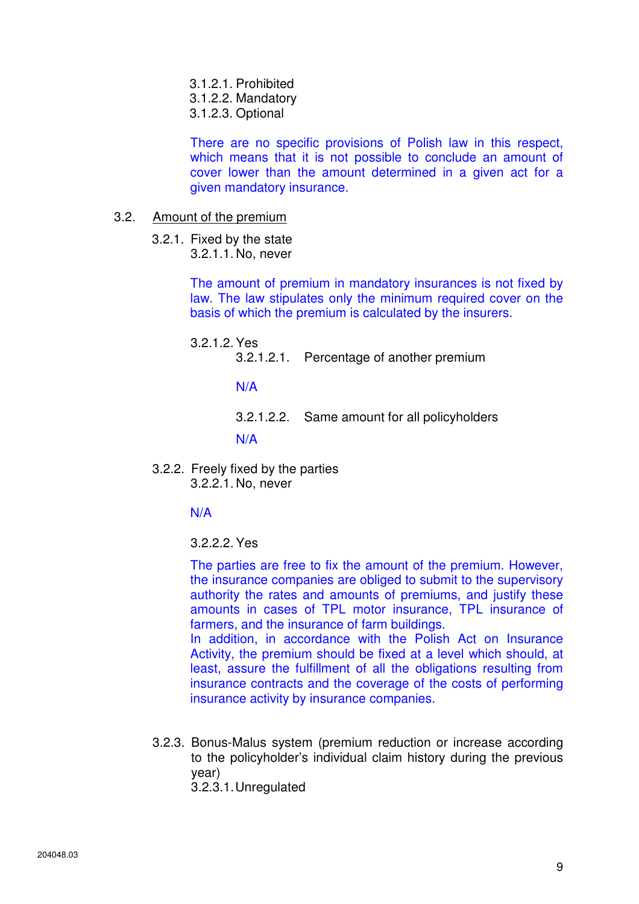- 3.1.2.1. Prohibited
- 3.1.2.2. Mandatory
- 3.1.2.3. Optional

There are no specific provisions of Polish law in this respect, which means that it is not possible to conclude an amount of cover lower than the amount determined in a given act for a given mandatory insurance.

- 3.2. Amount of the premium
	- 3.2.1. Fixed by the state 3.2.1.1. No, never

The amount of premium in mandatory insurances is not fixed by law. The law stipulates only the minimum required cover on the basis of which the premium is calculated by the insurers.

- 3.2.1.2. Yes
	- 3.2.1.2.1. Percentage of another premium

N/A

3.2.1.2.2. Same amount for all policyholders

N/A

3.2.2. Freely fixed by the parties 3.2.2.1. No, never

N/A

3.2.2.2. Yes

The parties are free to fix the amount of the premium. However, the insurance companies are obliged to submit to the supervisory authority the rates and amounts of premiums, and justify these amounts in cases of TPL motor insurance, TPL insurance of farmers, and the insurance of farm buildings.

In addition, in accordance with the Polish Act on Insurance Activity, the premium should be fixed at a level which should, at least, assure the fulfillment of all the obligations resulting from insurance contracts and the coverage of the costs of performing insurance activity by insurance companies.

3.2.3. Bonus-Malus system (premium reduction or increase according to the policyholder's individual claim history during the previous year) 3.2.3.1. Unregulated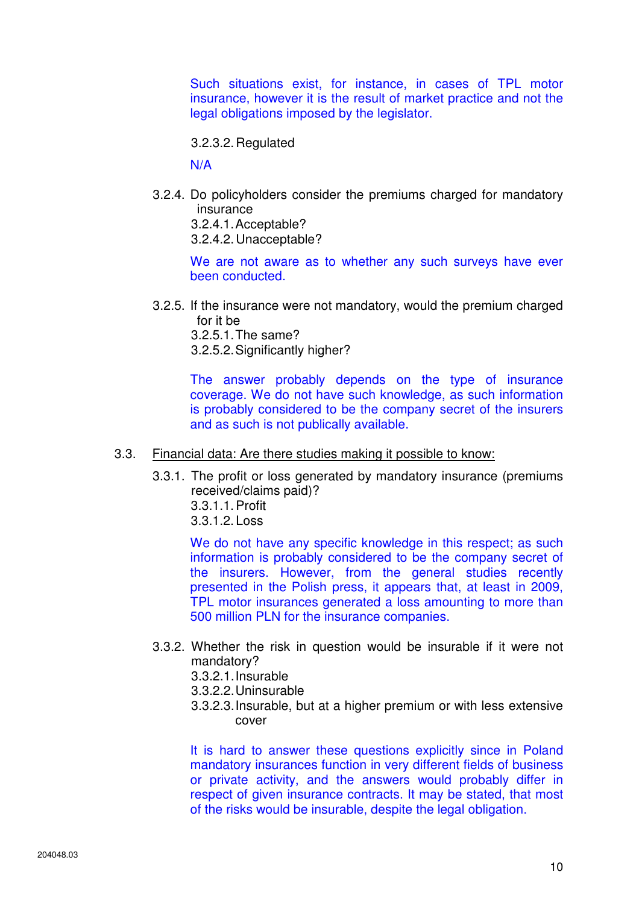Such situations exist, for instance, in cases of TPL motor insurance, however it is the result of market practice and not the legal obligations imposed by the legislator.

3.2.3.2. Regulated

N/A

3.2.4. Do policyholders consider the premiums charged for mandatory insurance 3.2.4.1. Acceptable?

3.2.4.2. Unacceptable?

We are not aware as to whether any such surveys have ever been conducted.

3.2.5. If the insurance were not mandatory, would the premium charged for it be

3.2.5.1. The same?

3.2.5.2. Significantly higher?

The answer probably depends on the type of insurance coverage. We do not have such knowledge, as such information is probably considered to be the company secret of the insurers and as such is not publically available.

### 3.3. Financial data: Are there studies making it possible to know:

- 3.3.1. The profit or loss generated by mandatory insurance (premiums received/claims paid)?
	- 3.3.1.1. Profit
	- 3.3.1.2. Loss

We do not have any specific knowledge in this respect; as such information is probably considered to be the company secret of the insurers. However, from the general studies recently presented in the Polish press, it appears that, at least in 2009, TPL motor insurances generated a loss amounting to more than 500 million PLN for the insurance companies.

- 3.3.2. Whether the risk in question would be insurable if it were not mandatory?
	- 3.3.2.1. Insurable
	- 3.3.2.2. Uninsurable
	- 3.3.2.3. Insurable, but at a higher premium or with less extensive cover

It is hard to answer these questions explicitly since in Poland mandatory insurances function in very different fields of business or private activity, and the answers would probably differ in respect of given insurance contracts. It may be stated, that most of the risks would be insurable, despite the legal obligation.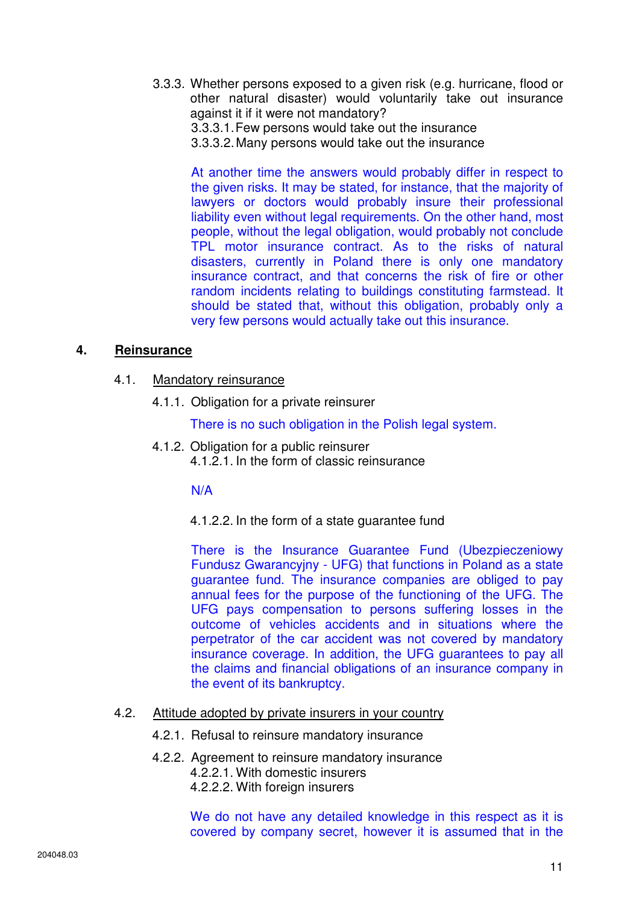- 3.3.3. Whether persons exposed to a given risk (e.g. hurricane, flood or other natural disaster) would voluntarily take out insurance against it if it were not mandatory?
	- 3.3.3.1. Few persons would take out the insurance
	- 3.3.3.2. Many persons would take out the insurance

At another time the answers would probably differ in respect to the given risks. It may be stated, for instance, that the majority of lawyers or doctors would probably insure their professional liability even without legal requirements. On the other hand, most people, without the legal obligation, would probably not conclude TPL motor insurance contract. As to the risks of natural disasters, currently in Poland there is only one mandatory insurance contract, and that concerns the risk of fire or other random incidents relating to buildings constituting farmstead. It should be stated that, without this obligation, probably only a very few persons would actually take out this insurance.

### **4. Reinsurance**

- 4.1. Mandatory reinsurance
	- 4.1.1. Obligation for a private reinsurer

There is no such obligation in the Polish legal system.

4.1.2. Obligation for a public reinsurer 4.1.2.1. In the form of classic reinsurance

N/A

4.1.2.2. In the form of a state guarantee fund

There is the Insurance Guarantee Fund (Ubezpieczeniowy Fundusz Gwarancyjny - UFG) that functions in Poland as a state guarantee fund. The insurance companies are obliged to pay annual fees for the purpose of the functioning of the UFG. The UFG pays compensation to persons suffering losses in the outcome of vehicles accidents and in situations where the perpetrator of the car accident was not covered by mandatory insurance coverage. In addition, the UFG guarantees to pay all the claims and financial obligations of an insurance company in the event of its bankruptcy.

- 4.2. Attitude adopted by private insurers in your country
	- 4.2.1. Refusal to reinsure mandatory insurance
	- 4.2.2. Agreement to reinsure mandatory insurance 4.2.2.1. With domestic insurers
		- 4.2.2.2. With foreign insurers

We do not have any detailed knowledge in this respect as it is covered by company secret, however it is assumed that in the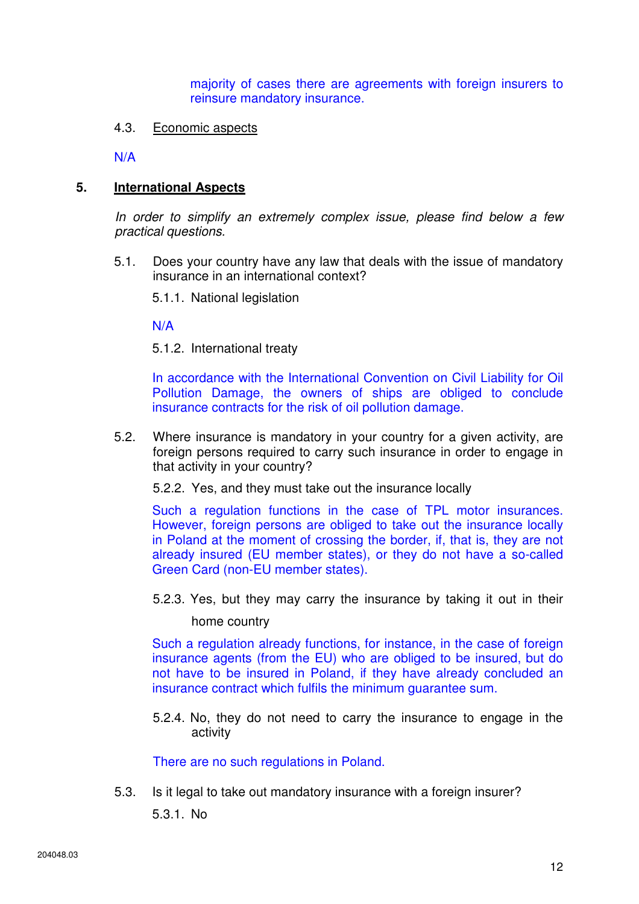majority of cases there are agreements with foreign insurers to reinsure mandatory insurance.

### 4.3. Economic aspects

N/A

### **5. International Aspects**

In order to simplify an extremely complex issue, please find below a few practical questions.

5.1. Does your country have any law that deals with the issue of mandatory insurance in an international context?

5.1.1. National legislation

N/A

5.1.2. International treaty

In accordance with the International Convention on Civil Liability for Oil Pollution Damage, the owners of ships are obliged to conclude insurance contracts for the risk of oil pollution damage.

5.2. Where insurance is mandatory in your country for a given activity, are foreign persons required to carry such insurance in order to engage in that activity in your country?

5.2.2. Yes, and they must take out the insurance locally

Such a regulation functions in the case of TPL motor insurances. However, foreign persons are obliged to take out the insurance locally in Poland at the moment of crossing the border, if, that is, they are not already insured (EU member states), or they do not have a so-called Green Card (non-EU member states).

5.2.3. Yes, but they may carry the insurance by taking it out in their

home country

Such a regulation already functions, for instance, in the case of foreign insurance agents (from the EU) who are obliged to be insured, but do not have to be insured in Poland, if they have already concluded an insurance contract which fulfils the minimum guarantee sum.

5.2.4. No, they do not need to carry the insurance to engage in the activity

There are no such regulations in Poland.

5.3. Is it legal to take out mandatory insurance with a foreign insurer?

5.3.1. No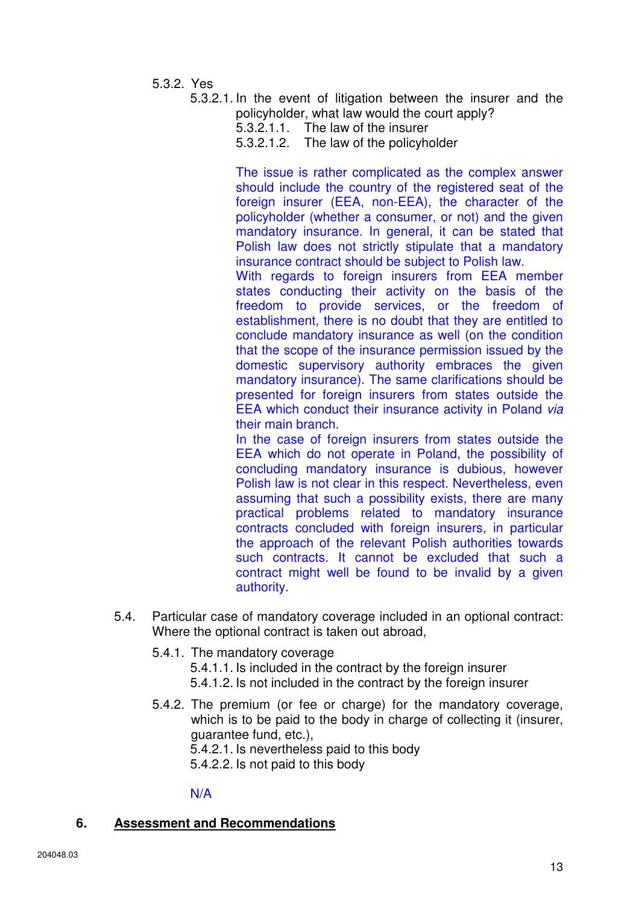- 5.3.2. Yes
	- 5.3.2.1. In the event of litigation between the insurer and the policyholder, what law would the court apply?
		- 5.3.2.1.1. The law of the insurer
		- 5.3.2.1.2. The law of the policyholder

The issue is rather complicated as the complex answer should include the country of the registered seat of the foreign insurer (EEA, non-EEA), the character of the policyholder (whether a consumer, or not) and the given mandatory insurance. In general, it can be stated that Polish law does not strictly stipulate that a mandatory insurance contract should be subject to Polish law.

With regards to foreign insurers from EEA member states conducting their activity on the basis of the freedom to provide services, or the freedom of establishment, there is no doubt that they are entitled to conclude mandatory insurance as well (on the condition that the scope of the insurance permission issued by the domestic supervisory authority embraces the given mandatory insurance). The same clarifications should be presented for foreign insurers from states outside the EEA which conduct their insurance activity in Poland via their main branch.

In the case of foreign insurers from states outside the EEA which do not operate in Poland, the possibility of concluding mandatory insurance is dubious, however Polish law is not clear in this respect. Nevertheless, even assuming that such a possibility exists, there are many practical problems related to mandatory insurance contracts concluded with foreign insurers, in particular the approach of the relevant Polish authorities towards such contracts. It cannot be excluded that such a contract might well be found to be invalid by a given authority.

- 5.4. Particular case of mandatory coverage included in an optional contract: Where the optional contract is taken out abroad,
	- 5.4.1. The mandatory coverage

5.4.1.1. Is included in the contract by the foreign insurer

- 5.4.1.2. Is not included in the contract by the foreign insurer
- 5.4.2. The premium (or fee or charge) for the mandatory coverage, which is to be paid to the body in charge of collecting it (insurer, guarantee fund, etc.), 5.4.2.1. Is nevertheless paid to this body

5.4.2.2. Is not paid to this body

#### N/A

### **6. Assessment and Recommendations**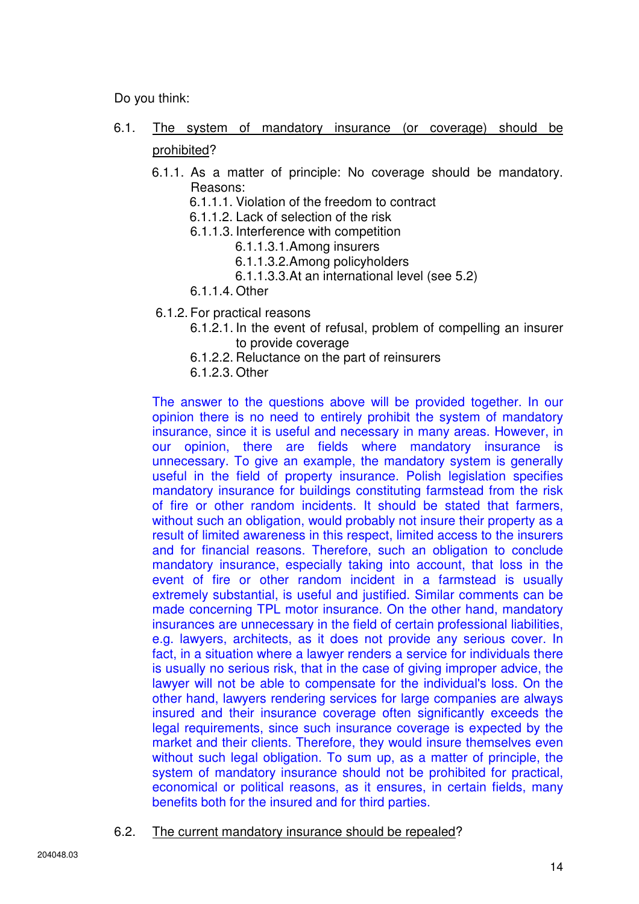Do you think:

- 6.1. The system of mandatory insurance (or coverage) should be prohibited?
	- 6.1.1. As a matter of principle: No coverage should be mandatory. Reasons:
		- 6.1.1.1. Violation of the freedom to contract
		- 6.1.1.2. Lack of selection of the risk
		- 6.1.1.3. Interference with competition
			- 6.1.1.3.1. Among insurers
			- 6.1.1.3.2. Among policyholders
			- 6.1.1.3.3. At an international level (see 5.2)
		- 6.1.1.4. Other
	- 6.1.2. For practical reasons
		- 6.1.2.1. In the event of refusal, problem of compelling an insurer to provide coverage
		- 6.1.2.2. Reluctance on the part of reinsurers
		- 6.1.2.3. Other

The answer to the questions above will be provided together. In our opinion there is no need to entirely prohibit the system of mandatory insurance, since it is useful and necessary in many areas. However, in our opinion, there are fields where mandatory insurance is unnecessary. To give an example, the mandatory system is generally useful in the field of property insurance. Polish legislation specifies mandatory insurance for buildings constituting farmstead from the risk of fire or other random incidents. It should be stated that farmers, without such an obligation, would probably not insure their property as a result of limited awareness in this respect, limited access to the insurers and for financial reasons. Therefore, such an obligation to conclude mandatory insurance, especially taking into account, that loss in the event of fire or other random incident in a farmstead is usually extremely substantial, is useful and justified. Similar comments can be made concerning TPL motor insurance. On the other hand, mandatory insurances are unnecessary in the field of certain professional liabilities, e.g. lawyers, architects, as it does not provide any serious cover. In fact, in a situation where a lawyer renders a service for individuals there is usually no serious risk, that in the case of giving improper advice, the lawyer will not be able to compensate for the individual's loss. On the other hand, lawyers rendering services for large companies are always insured and their insurance coverage often significantly exceeds the legal requirements, since such insurance coverage is expected by the market and their clients. Therefore, they would insure themselves even without such legal obligation. To sum up, as a matter of principle, the system of mandatory insurance should not be prohibited for practical, economical or political reasons, as it ensures, in certain fields, many benefits both for the insured and for third parties.

6.2. The current mandatory insurance should be repealed?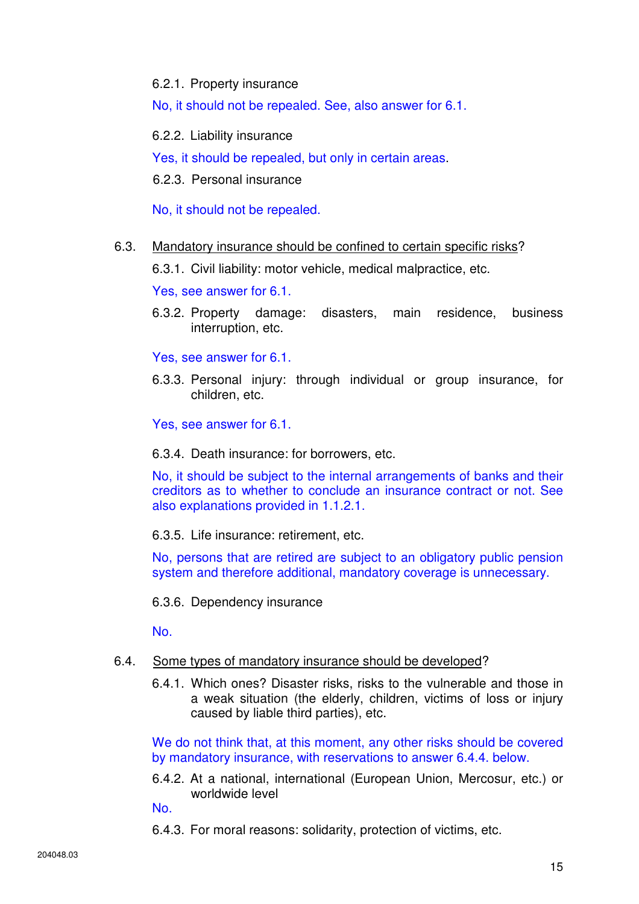6.2.1. Property insurance

No, it should not be repealed. See, also answer for 6.1.

6.2.2. Liability insurance

Yes, it should be repealed, but only in certain areas.

6.2.3. Personal insurance

No, it should not be repealed.

6.3. Mandatory insurance should be confined to certain specific risks?

6.3.1. Civil liability: motor vehicle, medical malpractice, etc.

Yes, see answer for 6.1.

6.3.2. Property damage: disasters, main residence, business interruption, etc.

Yes, see answer for 6.1.

6.3.3. Personal injury: through individual or group insurance, for children, etc.

Yes, see answer for 6.1.

6.3.4. Death insurance: for borrowers, etc.

No, it should be subject to the internal arrangements of banks and their creditors as to whether to conclude an insurance contract or not. See also explanations provided in 1.1.2.1.

6.3.5. Life insurance: retirement, etc.

No, persons that are retired are subject to an obligatory public pension system and therefore additional, mandatory coverage is unnecessary.

6.3.6. Dependency insurance

No.

#### 6.4. Some types of mandatory insurance should be developed?

6.4.1. Which ones? Disaster risks, risks to the vulnerable and those in a weak situation (the elderly, children, victims of loss or injury caused by liable third parties), etc.

We do not think that, at this moment, any other risks should be covered by mandatory insurance, with reservations to answer 6.4.4. below.

6.4.2. At a national, international (European Union, Mercosur, etc.) or worldwide level

No.

6.4.3. For moral reasons: solidarity, protection of victims, etc.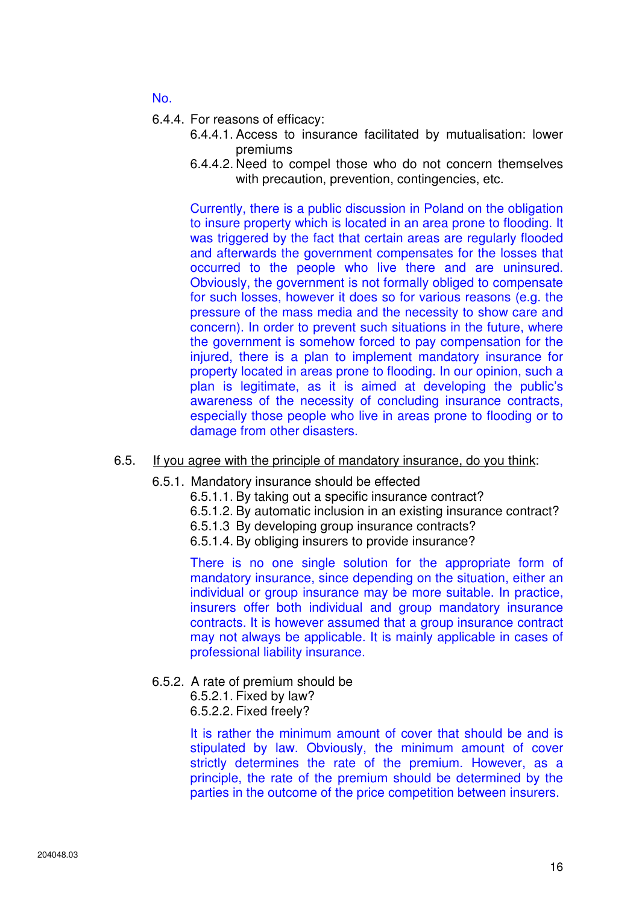No.

- 6.4.4. For reasons of efficacy:
	- 6.4.4.1. Access to insurance facilitated by mutualisation: lower premiums
	- 6.4.4.2. Need to compel those who do not concern themselves with precaution, prevention, contingencies, etc.

Currently, there is a public discussion in Poland on the obligation to insure property which is located in an area prone to flooding. It was triggered by the fact that certain areas are regularly flooded and afterwards the government compensates for the losses that occurred to the people who live there and are uninsured. Obviously, the government is not formally obliged to compensate for such losses, however it does so for various reasons (e.g. the pressure of the mass media and the necessity to show care and concern). In order to prevent such situations in the future, where the government is somehow forced to pay compensation for the injured, there is a plan to implement mandatory insurance for property located in areas prone to flooding. In our opinion, such a plan is legitimate, as it is aimed at developing the public's awareness of the necessity of concluding insurance contracts, especially those people who live in areas prone to flooding or to damage from other disasters.

#### 6.5. If you agree with the principle of mandatory insurance, do you think:

- 6.5.1. Mandatory insurance should be effected
	- 6.5.1.1. By taking out a specific insurance contract?
	- 6.5.1.2. By automatic inclusion in an existing insurance contract?
	- 6.5.1.3 By developing group insurance contracts?
	- 6.5.1.4. By obliging insurers to provide insurance?

There is no one single solution for the appropriate form of mandatory insurance, since depending on the situation, either an individual or group insurance may be more suitable. In practice, insurers offer both individual and group mandatory insurance contracts. It is however assumed that a group insurance contract may not always be applicable. It is mainly applicable in cases of professional liability insurance.

6.5.2. A rate of premium should be

6.5.2.1. Fixed by law? 6.5.2.2. Fixed freely?

It is rather the minimum amount of cover that should be and is stipulated by law. Obviously, the minimum amount of cover strictly determines the rate of the premium. However, as a principle, the rate of the premium should be determined by the parties in the outcome of the price competition between insurers.